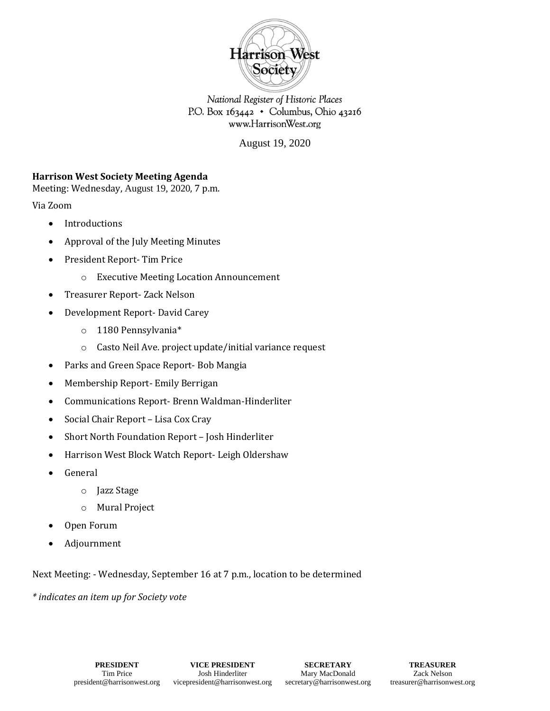

National Register of Historic Places P.O. Box 163442 • Columbus, Ohio 43216 www.HarrisonWest.org

August 19, 2020

## **Harrison West Society Meeting Agenda**

Meeting: Wednesday, August 19, 2020, 7 p.m.

Via Zoom

- Introductions
- Approval of the July Meeting Minutes
- President Report- Tim Price
	- o Executive Meeting Location Announcement
- Treasurer Report- Zack Nelson
- Development Report- David Carey
	- o 1180 Pennsylvania\*
	- o Casto Neil Ave. project update/initial variance request
- Parks and Green Space Report- Bob Mangia
- Membership Report- Emily Berrigan
- Communications Report- Brenn Waldman-Hinderliter
- Social Chair Report Lisa Cox Cray
- Short North Foundation Report Josh Hinderliter
- Harrison West Block Watch Report- Leigh Oldershaw
- General
	- o Jazz Stage
	- o Mural Project
- Open Forum
- Adjournment

Next Meeting: - Wednesday, September 16 at 7 p.m., location to be determined

*\* indicates an item up for Society vote*